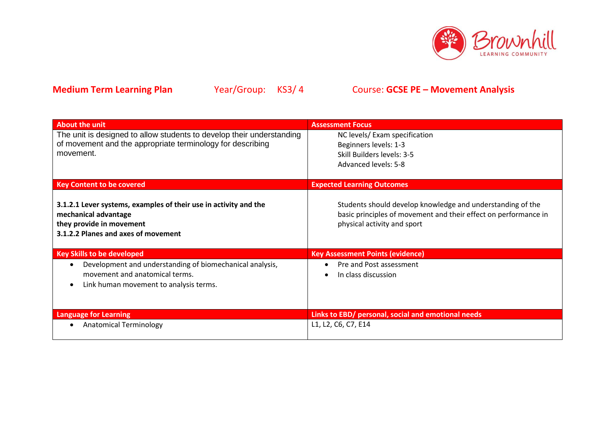

| <b>About the unit</b>                                                                                                                                          | <b>Assessment Focus</b>                                                                                                                                      |
|----------------------------------------------------------------------------------------------------------------------------------------------------------------|--------------------------------------------------------------------------------------------------------------------------------------------------------------|
| The unit is designed to allow students to develop their understanding<br>of movement and the appropriate terminology for describing<br>movement.               | NC levels/ Exam specification<br>Beginners levels: 1-3<br>Skill Builders levels: 3-5<br>Advanced levels: 5-8                                                 |
| <b>Key Content to be covered</b>                                                                                                                               | <b>Expected Learning Outcomes</b>                                                                                                                            |
| 3.1.2.1 Lever systems, examples of their use in activity and the<br>mechanical advantage<br>they provide in movement<br>3.1.2.2 Planes and axes of movement    | Students should develop knowledge and understanding of the<br>basic principles of movement and their effect on performance in<br>physical activity and sport |
| <b>Key Skills to be developed</b>                                                                                                                              | <b>Key Assessment Points (evidence)</b>                                                                                                                      |
| Development and understanding of biomechanical analysis,<br>$\bullet$<br>movement and anatomical terms.<br>Link human movement to analysis terms.<br>$\bullet$ | Pre and Post assessment<br>In class discussion                                                                                                               |
| <b>Language for Learning</b>                                                                                                                                   | Links to EBD/ personal, social and emotional needs                                                                                                           |
| <b>Anatomical Terminology</b><br>$\bullet$                                                                                                                     | L1, L2, C6, C7, E14                                                                                                                                          |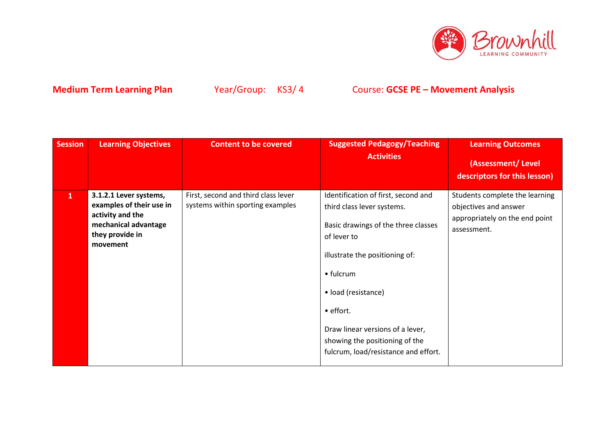

| <b>Session</b> | <b>Learning Objectives</b>                                                                                                    | <b>Content to be covered</b>                                            | <b>Suggested Pedagogy/Teaching</b><br><b>Activities</b>                                                                                                                                                                                                                                                                  | <b>Learning Outcomes</b><br>(Assessment/Level<br>descriptors for this lesson)                            |
|----------------|-------------------------------------------------------------------------------------------------------------------------------|-------------------------------------------------------------------------|--------------------------------------------------------------------------------------------------------------------------------------------------------------------------------------------------------------------------------------------------------------------------------------------------------------------------|----------------------------------------------------------------------------------------------------------|
| $\mathbf{1}$   | 3.1.2.1 Lever systems,<br>examples of their use in<br>activity and the<br>mechanical advantage<br>they provide in<br>movement | First, second and third class lever<br>systems within sporting examples | Identification of first, second and<br>third class lever systems.<br>Basic drawings of the three classes<br>of lever to<br>illustrate the positioning of:<br>• fulcrum<br>• load (resistance)<br>• effort.<br>Draw linear versions of a lever,<br>showing the positioning of the<br>fulcrum, load/resistance and effort. | Students complete the learning<br>objectives and answer<br>appropriately on the end point<br>assessment. |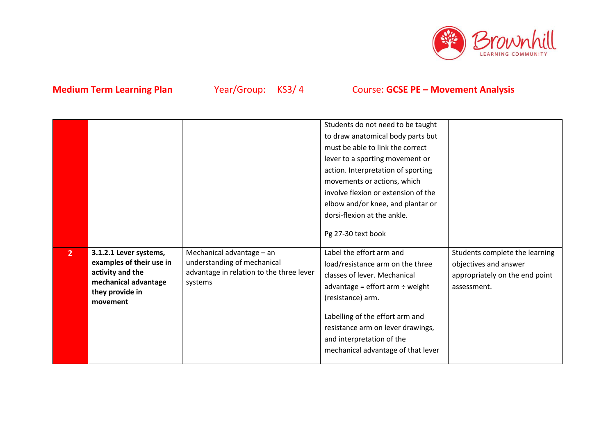

|                |                                                                                                                               |                                                                                                                 | Students do not need to be taught<br>to draw anatomical body parts but<br>must be able to link the correct<br>lever to a sporting movement or<br>action. Interpretation of sporting<br>movements or actions, which<br>involve flexion or extension of the<br>elbow and/or knee, and plantar or<br>dorsi-flexion at the ankle.<br>Pg 27-30 text book |                                                                                                          |
|----------------|-------------------------------------------------------------------------------------------------------------------------------|-----------------------------------------------------------------------------------------------------------------|-----------------------------------------------------------------------------------------------------------------------------------------------------------------------------------------------------------------------------------------------------------------------------------------------------------------------------------------------------|----------------------------------------------------------------------------------------------------------|
| 2 <sup>1</sup> | 3.1.2.1 Lever systems,<br>examples of their use in<br>activity and the<br>mechanical advantage<br>they provide in<br>movement | Mechanical advantage - an<br>understanding of mechanical<br>advantage in relation to the three lever<br>systems | Label the effort arm and<br>load/resistance arm on the three<br>classes of lever. Mechanical<br>advantage = effort $arm \div weight$<br>(resistance) arm.<br>Labelling of the effort arm and<br>resistance arm on lever drawings,<br>and interpretation of the<br>mechanical advantage of that lever                                                | Students complete the learning<br>objectives and answer<br>appropriately on the end point<br>assessment. |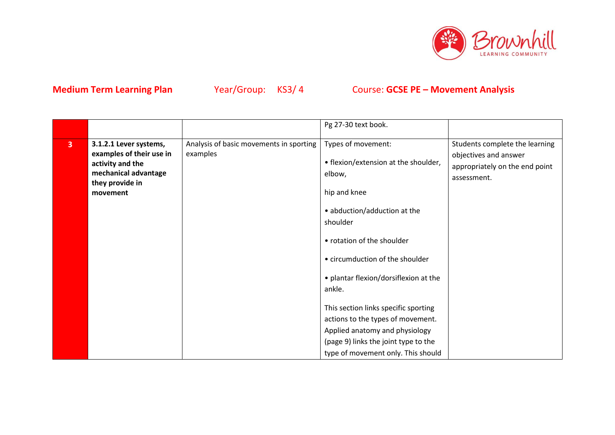

|                         |                                              |                                         | Pg 27-30 text book.                      |                                               |
|-------------------------|----------------------------------------------|-----------------------------------------|------------------------------------------|-----------------------------------------------|
| $\overline{\mathbf{3}}$ | 3.1.2.1 Lever systems,                       | Analysis of basic movements in sporting | Types of movement:                       | Students complete the learning                |
|                         | examples of their use in<br>activity and the | examples                                | • flexion/extension at the shoulder,     | objectives and answer                         |
|                         | mechanical advantage                         |                                         | elbow,                                   | appropriately on the end point<br>assessment. |
|                         | they provide in<br>movement                  |                                         | hip and knee                             |                                               |
|                         |                                              |                                         | • abduction/adduction at the<br>shoulder |                                               |
|                         |                                              |                                         | • rotation of the shoulder               |                                               |
|                         |                                              |                                         | • circumduction of the shoulder          |                                               |
|                         |                                              |                                         | • plantar flexion/dorsiflexion at the    |                                               |
|                         |                                              |                                         | ankle.                                   |                                               |
|                         |                                              |                                         | This section links specific sporting     |                                               |
|                         |                                              |                                         | actions to the types of movement.        |                                               |
|                         |                                              |                                         | Applied anatomy and physiology           |                                               |
|                         |                                              |                                         | (page 9) links the joint type to the     |                                               |
|                         |                                              |                                         | type of movement only. This should       |                                               |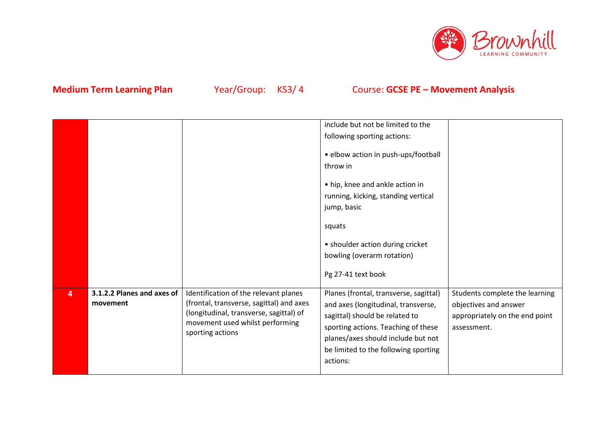

|   |                                        |                                                                                                                                                                                     | include but not be limited to the                                                                                                                                                                                                                |                                                                                                          |
|---|----------------------------------------|-------------------------------------------------------------------------------------------------------------------------------------------------------------------------------------|--------------------------------------------------------------------------------------------------------------------------------------------------------------------------------------------------------------------------------------------------|----------------------------------------------------------------------------------------------------------|
|   |                                        |                                                                                                                                                                                     | following sporting actions:                                                                                                                                                                                                                      |                                                                                                          |
|   |                                        |                                                                                                                                                                                     | · elbow action in push-ups/football<br>throw in<br>• hip, knee and ankle action in<br>running, kicking, standing vertical<br>jump, basic<br>squats<br>• shoulder action during cricket<br>bowling (overarm rotation)                             |                                                                                                          |
|   |                                        |                                                                                                                                                                                     | Pg 27-41 text book                                                                                                                                                                                                                               |                                                                                                          |
|   |                                        |                                                                                                                                                                                     |                                                                                                                                                                                                                                                  |                                                                                                          |
| 4 | 3.1.2.2 Planes and axes of<br>movement | Identification of the relevant planes<br>(frontal, transverse, sagittal) and axes<br>(longitudinal, transverse, sagittal) of<br>movement used whilst performing<br>sporting actions | Planes (frontal, transverse, sagittal)<br>and axes (longitudinal, transverse,<br>sagittal) should be related to<br>sporting actions. Teaching of these<br>planes/axes should include but not<br>be limited to the following sporting<br>actions: | Students complete the learning<br>objectives and answer<br>appropriately on the end point<br>assessment. |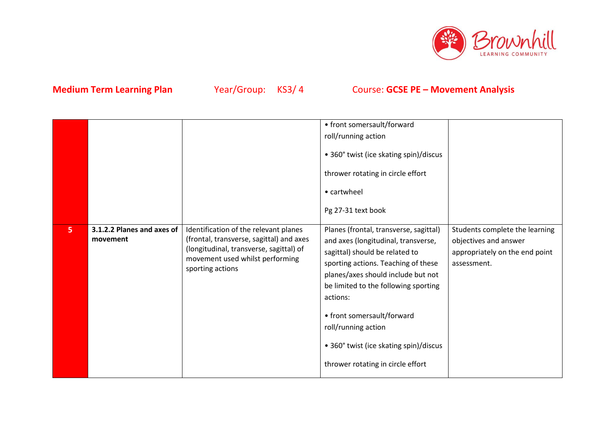

|   |                                        |                                                                                                                                                                                     | • front somersault/forward<br>roll/running action<br>• 360° twist (ice skating spin)/discus<br>thrower rotating in circle effort<br>• cartwheel<br>Pg 27-31 text book                                                                                                                                                                                                                |                                                                                                          |
|---|----------------------------------------|-------------------------------------------------------------------------------------------------------------------------------------------------------------------------------------|--------------------------------------------------------------------------------------------------------------------------------------------------------------------------------------------------------------------------------------------------------------------------------------------------------------------------------------------------------------------------------------|----------------------------------------------------------------------------------------------------------|
| 5 | 3.1.2.2 Planes and axes of<br>movement | Identification of the relevant planes<br>(frontal, transverse, sagittal) and axes<br>(longitudinal, transverse, sagittal) of<br>movement used whilst performing<br>sporting actions | Planes (frontal, transverse, sagittal)<br>and axes (longitudinal, transverse,<br>sagittal) should be related to<br>sporting actions. Teaching of these<br>planes/axes should include but not<br>be limited to the following sporting<br>actions:<br>• front somersault/forward<br>roll/running action<br>• 360° twist (ice skating spin)/discus<br>thrower rotating in circle effort | Students complete the learning<br>objectives and answer<br>appropriately on the end point<br>assessment. |